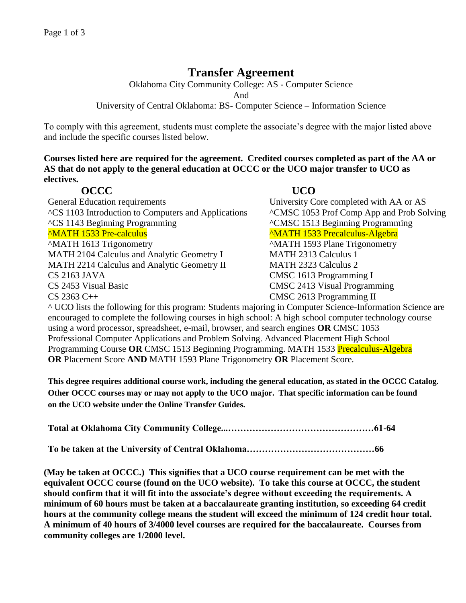# **Transfer Agreement**

Oklahoma City Community College: AS - Computer Science

And

University of Central Oklahoma: BS- Computer Science – Information Science

To comply with this agreement, students must complete the associate's degree with the major listed above and include the specific courses listed below.

**Courses listed here are required for the agreement. Credited courses completed as part of the AA or AS that do not apply to the general education at OCCC or the UCO major transfer to UCO as electives.**

# **OCCC UCO**

General Education requirements University Core completed with AA or AS ^CS 1103 Introduction to Computers and Applications ^CMSC 1053 Prof Comp App and Prob Solving ^CS 1143 Beginning Programming ^CMSC 1513 Beginning Programming <sup>^</sup>MATH 1533 Pre-calculus <sup>^</sup>MATH 1533 Precalculus-Algebra ^MATH 1613 Trigonometry ^MATH 1593 Plane Trigonometry MATH 2104 Calculus and Analytic Geometry I MATH 2313 Calculus 1 MATH 2214 Calculus and Analytic Geometry II MATH 2323 Calculus 2 CS 2163 JAVA CMSC 1613 Programming I CS 2453 Visual Basic CMSC 2413 Visual Programming CS 2363 C++ CMSC 2613 Programming II

^ UCO lists the following for this program: Students majoring in Computer Science-Information Science are encouraged to complete the following courses in high school: A high school computer technology course using a word processor, spreadsheet, e-mail, browser, and search engines **OR** CMSC 1053 Professional Computer Applications and Problem Solving. Advanced Placement High School Programming Course **OR** CMSC 1513 Beginning Programming. MATH 1533 Precalculus-Algebra **OR** Placement Score **AND** MATH 1593 Plane Trigonometry **OR** Placement Score.

**This degree requires additional course work, including the general education, as stated in the OCCC Catalog. Other OCCC courses may or may not apply to the UCO major. That specific information can be found on the UCO website under the Online Transfer Guides.** 

**Total at Oklahoma City Community College...…………………………………………61-64**

**To be taken at the University of Central Oklahoma……………………………………66**

**(May be taken at OCCC.) This signifies that a UCO course requirement can be met with the equivalent OCCC course (found on the UCO website). To take this course at OCCC, the student should confirm that it will fit into the associate's degree without exceeding the requirements. A minimum of 60 hours must be taken at a baccalaureate granting institution, so exceeding 64 credit hours at the community college means the student will exceed the minimum of 124 credit hour total. A minimum of 40 hours of 3/4000 level courses are required for the baccalaureate. Courses from community colleges are 1/2000 level.**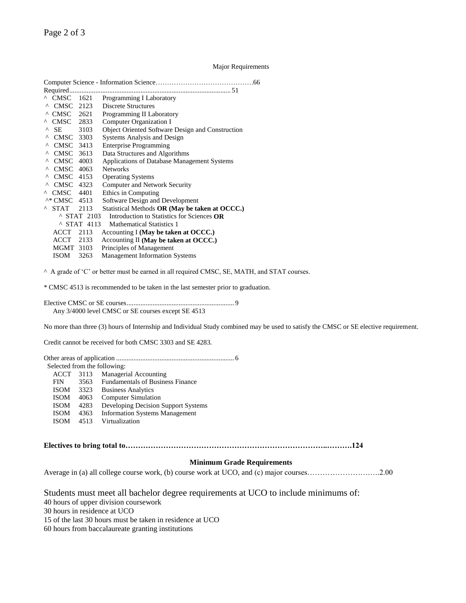Page 2 of 3

## Major Requirements

|          | Required.                                                                                                                                                                                                                      |                      |                                                         |  |
|----------|--------------------------------------------------------------------------------------------------------------------------------------------------------------------------------------------------------------------------------|----------------------|---------------------------------------------------------|--|
|          | $^{\wedge}$ CMSC $^{\wedge}$                                                                                                                                                                                                   | 1621                 | Programming I Laboratory                                |  |
| Λ        | CMSC 2123                                                                                                                                                                                                                      |                      | Discrete Structures                                     |  |
|          | $^{\wedge}$ CMSC 2621                                                                                                                                                                                                          |                      | Programming II Laboratory                               |  |
|          | ^ CMSC 2833                                                                                                                                                                                                                    |                      | Computer Organization I                                 |  |
| Λ        | SE and the set of the set of the set of the set of the set of the set of the set of the set of the set of the set of the set of the set of the set of the set of the set of the set of the set of the set of the set of the se | 3103                 | <b>Object Oriented Software Design and Construction</b> |  |
| Λ        | CMSC 3303                                                                                                                                                                                                                      |                      | <b>Systems Analysis and Design</b>                      |  |
| ۸        | CMSC 3413                                                                                                                                                                                                                      |                      | <b>Enterprise Programming</b>                           |  |
| Λ        | CMSC 3613                                                                                                                                                                                                                      |                      | Data Structures and Algorithms                          |  |
| Λ        | CMSC 4003                                                                                                                                                                                                                      |                      | <b>Applications of Database Management Systems</b>      |  |
| Λ        | CMSC 4063                                                                                                                                                                                                                      |                      | <b>Networks</b>                                         |  |
| Λ        | CMSC 4153                                                                                                                                                                                                                      |                      | <b>Operating Systems</b>                                |  |
| Λ        | CMSC 4323                                                                                                                                                                                                                      |                      | Computer and Network Security                           |  |
| $\wedge$ | CMSC 4401                                                                                                                                                                                                                      |                      | Ethics in Computing                                     |  |
|          | $^{\text{A*}}$ CMSC 4513                                                                                                                                                                                                       |                      | Software Design and Development                         |  |
| Λ.       | <b>STAT</b>                                                                                                                                                                                                                    | 2113                 | Statistical Methods OR (May be taken at OCCC.)          |  |
|          |                                                                                                                                                                                                                                | ^ STAT 2103          | Introduction to Statistics for Sciences OR              |  |
|          |                                                                                                                                                                                                                                | $^{\circ}$ STAT 4113 | Mathematical Statistics 1                               |  |
|          | <b>ACCT</b>                                                                                                                                                                                                                    | 2113                 | Accounting I (May be taken at OCCC.)                    |  |
|          | ACCT 2133                                                                                                                                                                                                                      |                      | Accounting II (May be taken at OCCC.)                   |  |
|          | <b>MGMT 3103</b>                                                                                                                                                                                                               |                      | Principles of Management                                |  |
|          | ISOM                                                                                                                                                                                                                           | 3263                 | <b>Management Information Systems</b>                   |  |

^ A grade of 'C' or better must be earned in all required CMSC, SE, MATH, and STAT courses.

\* CMSC 4513 is recommended to be taken in the last semester prior to graduation.

Elective CMSC or SE courses.............................................................. 9 Any 3/4000 level CMSC or SE courses except SE 4513

No more than three (3) hours of Internship and Individual Study combined may be used to satisfy the CMSC or SE elective requirement.

Credit cannot be received for both CMSC 3303 and SE 4283.

| Selected from the following: |      |                                       |  |  |  |  |  |
|------------------------------|------|---------------------------------------|--|--|--|--|--|
| <b>ACCT</b>                  | 3113 | Managerial Accounting                 |  |  |  |  |  |
| <b>FIN</b>                   |      | 3563 Fundamentals of Business Finance |  |  |  |  |  |
| <b>ISOM</b>                  | 3323 | <b>Business Analytics</b>             |  |  |  |  |  |
| <b>ISOM</b>                  | 4063 | <b>Computer Simulation</b>            |  |  |  |  |  |
| <b>ISOM</b>                  | 4283 | Developing Decision Support Systems   |  |  |  |  |  |
| <b>ISOM</b>                  | 4363 | <b>Information Systems Management</b> |  |  |  |  |  |
| <b>ISOM</b>                  | 4513 | Virtualization                        |  |  |  |  |  |
|                              |      |                                       |  |  |  |  |  |

### **Electives to bring total to……………………………………………………………………..……….124**

#### **Minimum Grade Requirements**

Average in (a) all college course work, (b) course work at UCO, and (c) major courses…………………….….2.00

Students must meet all bachelor degree requirements at UCO to include minimums of:

40 hours of upper division coursework

30 hours in residence at UCO

15 of the last 30 hours must be taken in residence at UCO

60 hours from baccalaureate granting institutions